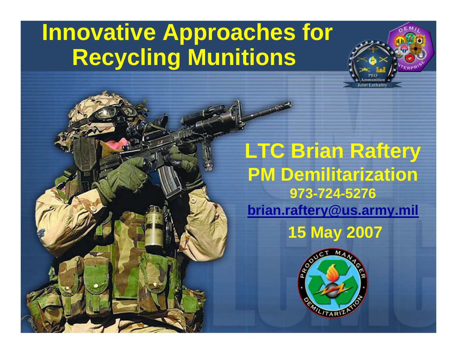# **Innovative Approaches for Recycling Munitions**

## **LTC Brian Raftery PM Demilitarization 973-724-5276[brian.raftery@us.army.mil](mailto:brian.raftery@us.army.mil) 15 May 2007**

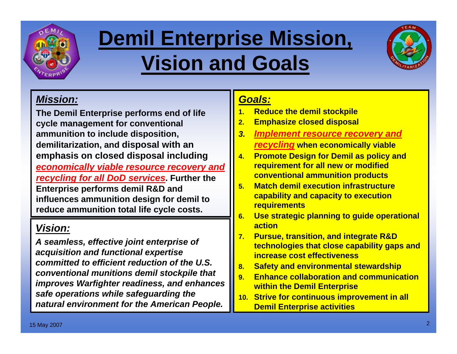

# **Demil Enterprise Mission, Vision and Goals**



#### *Mission:*

**The Demil Enterprise performs end of life cycle management for conventional ammunition to include disposition, demilitarization, and disposal with an emphasis on closed disposal including** *economically viable resource recovery and recycling for all DoD services***. Further the Enterprise performs demil R&D and influences ammunition design for demil to reduce ammunition total life cycle costs.**

#### *Vision:*

*A seamless, effective joint enterprise of acquisition and functional expertise committed to efficient reduction of the U.S. conventional munitions demil stockpile that improves Warfighter readiness, and enhances safe operations while safeguarding the natural environment for the American People.*

#### *Goals:*

- **1.Reduce the demil stockpile**
- **2.Emphasize closed disposal**
- *3. Implement resource recovery and recycling* **when economically viable**
- **4. Promote Design for Demil as policy and requirement for all new or modified conventional ammunition products**
- **5. Match demil execution infrastructure capability and capacity to execution requirements**
- **6. Use strategic planning to guide operational action**
- **7. Pursue, transition, and integrate R&D technologies that close capability gaps and increase cost effectiveness**
- **8.Safety and environmental stewardship**
- **9. Enhance collaboration and communication within the Demil Enterprise**
- **10. Strive for continuous improvement in all Demil Enterprise activities**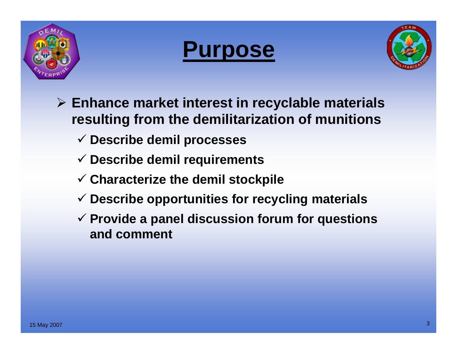





- ¾ **Enhance market interest in recyclable materials resulting from the demilitarization of munitions**
	- 9 **Describe demil processes**
	- 9 **Describe demil requirements**
	- 9 **Characterize the demil stockpile**
	- 9 **Describe opportunities for recycling materials**
	- 9 **Provide a panel discussion forum for questions and comment**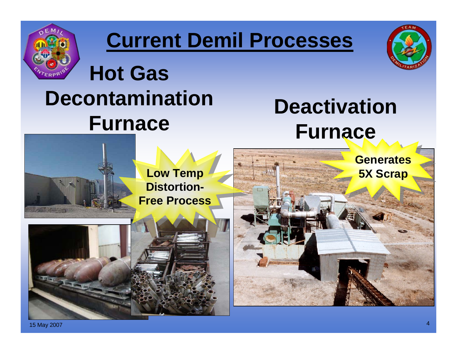

# **Current Demil Processes**



# **Hot Gas Decontamination Furnace**

# **Deactivation Furnace**

**Low Temp Distortion-Free Process**





15 May 2007 <sup>4</sup>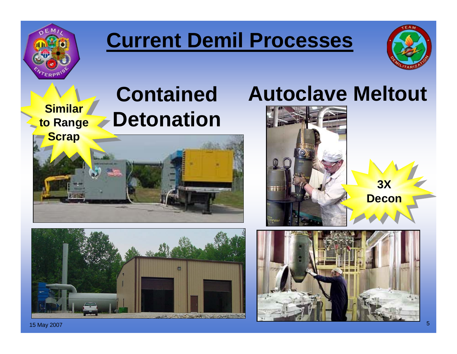

# **Current Demil Processes**



**Similar to Range Scrap**

# **Contained Detonation**





## **Autoclave Meltout**



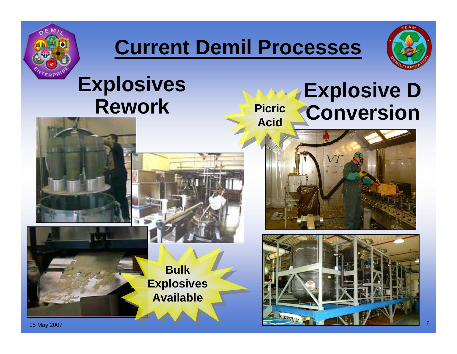

# **Current Demil Processes**



# **Explosives Rework**

**Picric Acid**

# **Explosive D<br>Conversion**





**Bulk Explosives Available**



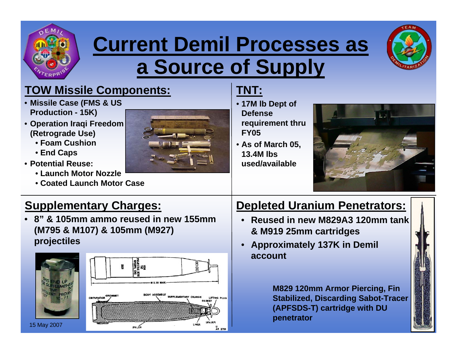

# **Current Demil Processes as a Source of Supply**



#### **TOW Missile Components:**

- **Missile Case (FMS & US Production - 15K)**
- **Operation Iraqi Freedom (Retrograde Use)**
	- **Foam Cushion**
	- **End Caps**
- **Potential Reuse:**
	- **Launch Motor Nozzle**
	- **Coated Launch Motor Case**



#### **TNT:**

- **17M lb Dept of Defense requirement thru FY05**
- **As of March 05, 13.4M lbs used/available**



#### **Supplementary Charges:**

• **8" & 105mm ammo reused in new 155mm (M795 & M107) & 105mm (M927) projectiles**





#### **Depleted Uranium Penetrators:**

- **Reused in new M829A3 120mm tank & M919 25mm cartridges**
- **Approximately 137K in Demil account**

**M829 120mm Armor Piercing, Fin Stabilized, Discarding Sabot-Tracer (APFSDS-T) cartridge with DU penetrator**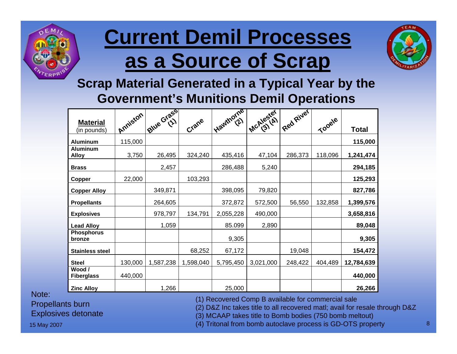

# **Current Demil Processes as a Source of Scrap**



#### **Scrap Material Generated in a Typical Year by the Government's Munitions Demil Operations**

| <b>Material</b><br>(in pounds)  | Anniston | Blue Grass | Crane     | Elawthorne | $\frac{1}{2}$ | IRed River | Tooele  | <b>Total</b> |
|---------------------------------|----------|------------|-----------|------------|---------------|------------|---------|--------------|
| <b>Aluminum</b>                 | 115,000  |            |           |            |               |            |         | 115,000      |
| <b>Aluminum</b><br><b>Alloy</b> | 3,750    | 26,495     | 324,240   | 435,416    | 47,104        | 286,373    | 118,096 | 1,241,474    |
| <b>Brass</b>                    |          | 2,457      |           | 286,488    | 5,240         |            |         | 294,185      |
| <b>Copper</b>                   | 22,000   |            | 103,293   |            |               |            |         | 125,293      |
| <b>Copper Alloy</b>             |          | 349,871    |           | 398,095    | 79,820        |            |         | 827,786      |
| <b>Propellants</b>              |          | 264,605    |           | 372,872    | 572,500       | 56,550     | 132,858 | 1,399,576    |
| <b>Explosives</b>               |          | 978,797    | 134,791   | 2,055,228  | 490,000       |            |         | 3,658,816    |
| <b>Lead Alloy</b>               |          | 1,059      |           | 85.099     | 2,890         |            |         | 89,048       |
| <b>Phosphorus</b><br>bronze     |          |            |           | 9,305      |               |            |         | 9,305        |
| <b>Stainless steel</b>          |          |            | 68,252    | 67,172     |               | 19,048     |         | 154,472      |
| <b>Steel</b>                    | 130,000  | 1,587,238  | 1,598,040 | 5,795,450  | 3,021,000     | 248,422    | 404,489 | 12,784,639   |
| Wood /<br><b>Fiberglass</b>     | 440,000  |            |           |            |               |            |         | 440,000      |
| <b>Zinc Alloy</b>               |          | 1,266      |           | 25,000     |               |            |         | 26,266       |

Note:

Propellants burn

Explosives detonate

(1) Recovered Comp B available for commercial sale (2) D&Z Inc takes title to all recovered matl; avail for resale through D&Z

(3) MCAAP takes title to Bomb bodies (750 bomb meltout)

15 May 2007 <sup>8</sup> (4) Tritonal from bomb autoclave process is GD-OTS property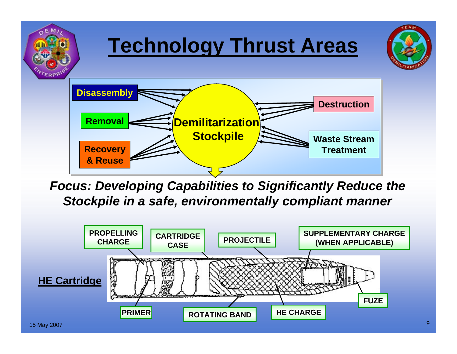

*Focus: Developing Capabilities to Significantly Reduce the Stockpile in a safe, environmentally compliant manner*

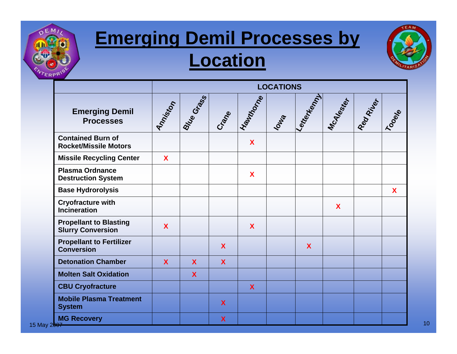

## **Emerging Demil Processes by Location**



|                                                           | <b>LOCATIONS</b> |                           |                           |                  |                |            |             |          |       |
|-----------------------------------------------------------|------------------|---------------------------|---------------------------|------------------|----------------|------------|-------------|----------|-------|
| <b>Emerging Demil</b><br><b>Processes</b>                 | Antiston         | Brue Grass                | Crane                     | Hawthorne        | <b>Journal</b> | Lentertent | McAlestrer  | Register | Toode |
| <b>Contained Burn of</b><br><b>Rocket/Missile Motors</b>  |                  |                           |                           | $\mathbf x$      |                |            |             |          |       |
| <b>Missile Recycling Center</b>                           | X                |                           |                           |                  |                |            |             |          |       |
| <b>Plasma Ordnance</b><br><b>Destruction System</b>       |                  |                           |                           | X                |                |            |             |          |       |
| <b>Base Hydrorolysis</b>                                  |                  |                           |                           |                  |                |            |             |          | X     |
| <b>Cryofracture with</b><br><b>Incineration</b>           |                  |                           |                           |                  |                |            | $\mathbf x$ |          |       |
| <b>Propellant to Blasting</b><br><b>Slurry Conversion</b> | $\mathbf{X}$     |                           |                           | $\mathbf{X}$     |                |            |             |          |       |
| <b>Propellant to Fertilizer</b><br><b>Conversion</b>      |                  |                           | X                         |                  |                | X          |             |          |       |
| <b>Detonation Chamber</b>                                 | X                | $\boldsymbol{X}$          | X                         |                  |                |            |             |          |       |
| <b>Molten Salt Oxidation</b>                              |                  | $\boldsymbol{\mathsf{X}}$ |                           |                  |                |            |             |          |       |
| <b>CBU Cryofracture</b>                                   |                  |                           |                           | $\boldsymbol{X}$ |                |            |             |          |       |
| <b>Mobile Plasma Treatment</b><br><b>System</b>           |                  |                           | $\boldsymbol{\mathsf{X}}$ |                  |                |            |             |          |       |
| <b>MG Recovery</b><br>15 May 2 <del>007</del>             |                  |                           | $\boldsymbol{\mathsf{X}}$ |                  |                |            |             |          |       |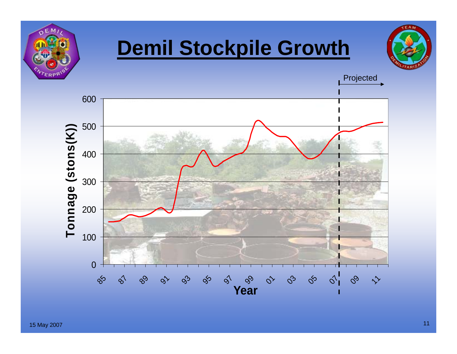

# **Demil Stockpile Growth**



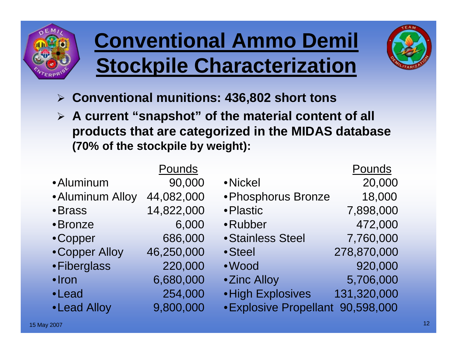

# **Conventional Ammo Demil Stockpile Characterization**



- ¾ **Conventional munitions: 436,802 short tons**
- ¾ **A current "snapshot" of the material content of all products that are categorized in the MIDAS database (70% of the stockpile by weight):**

|                  | Pounds     |                                   | Pounds      |
|------------------|------------|-----------------------------------|-------------|
| • Aluminum       | 90,000     | • Nickel                          | 20,000      |
| • Aluminum Alloy | 44,082,000 | • Phosphorus Bronze               | 18,000      |
| • Brass          | 14,822,000 | • Plastic                         | 7,898,000   |
| • Bronze         | 6,000      | •Rubber                           | 472,000     |
| •Copper          | 686,000    | · Stainless Steel                 | 7,760,000   |
| • Copper Alloy   | 46,250,000 | • Steel                           | 278,870,000 |
| • Fiberglass     | 220,000    | • Wood                            | 920,000     |
| $\cdot$ Iron     | 6,680,000  | •Zinc Alloy                       | 5,706,000   |
| •Lead            | 254,000    | • High Explosives                 | 131,320,000 |
| • Lead Alloy     | 9,800,000  | • Explosive Propellant 90,598,000 |             |
|                  |            |                                   |             |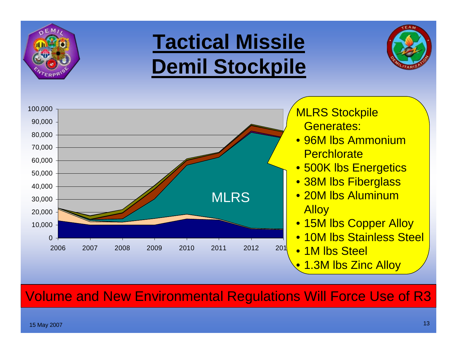

# **Tactical Missile Demil Stockpile**





Volume and New Environmental Regulations Will Force Use of R3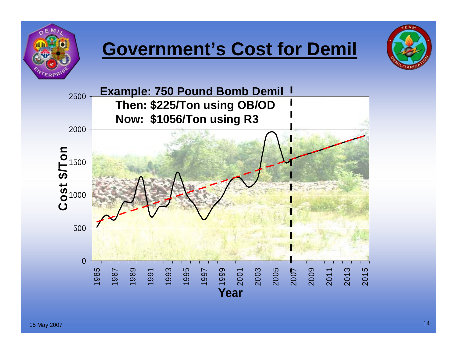

## **Government's Cost for Demil**



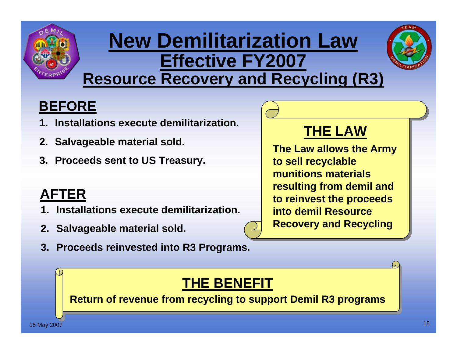

## **New Demilitarization Law Effective FY2007 Resource Recovery and Recycling (R3)**



## **BEFORE**

- **1. Installations execute demilitarization.**
- **2. Salvageable material sold.**
- **3. Proceeds sent to US Treasury.**

## **AFTER**

- **1. Installations execute demilitarization.**
- **2. Salvageable material sold.**
- **3. Proceeds reinvested into R3 Programs.**

## **THE LAW**

**The Law allows the Army to sell recyclable munitions materials resulting from demil and to reinvest the proceeds into demil Resource Recovery and Recycling**

## **THE BENEFIT**

**Return of revenue from recycling to support Demil R3 programs**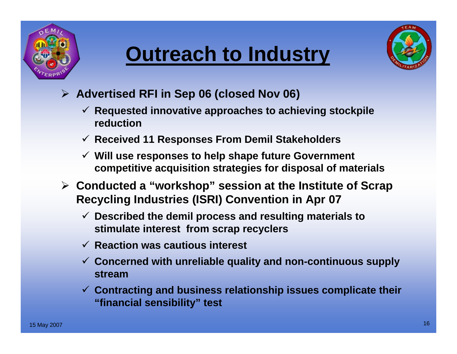





- ¾ **Advertised RFI in Sep 06 (closed Nov 06)**
	- 9 **Requested innovative approaches to achieving stockpile reduction**
	- 9 **Received 11 Responses From Demil Stakeholders**
	- 9 **Will use responses to help shape future Government competitive acquisition strategies for disposal of materials**
- ¾ **Conducted a "workshop" session at the Institute of Scrap Recycling Industries (ISRI) Convention in Apr 07**
	- 9 **Described the demil process and resulting materials to stimulate interest from scrap recyclers**
	- 9 **Reaction was cautious interest**
	- 9 **Concerned with unreliable quality and non-continuous supply stream**
	- 9 **Contracting and business relationship issues complicate their "financial sensibility" test**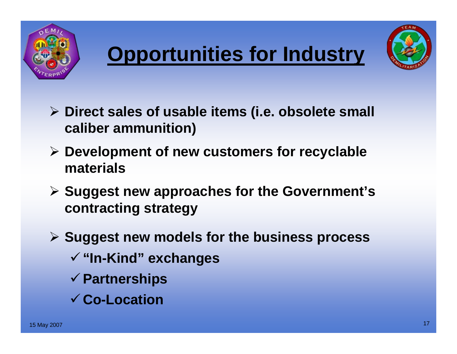





- ¾ **Direct sales of usable items (i.e. obsolete small caliber ammunition)**
- ¾ **Development of new customers for recyclable materials**
- ¾ **Suggest new approaches for the Government's contracting strategy**
- ¾ **Suggest new models for the business process**
	- <sup>9</sup>**"In-Kind" exchanges**
	- <sup>9</sup>**Partnerships**
	- 9**Co-Location**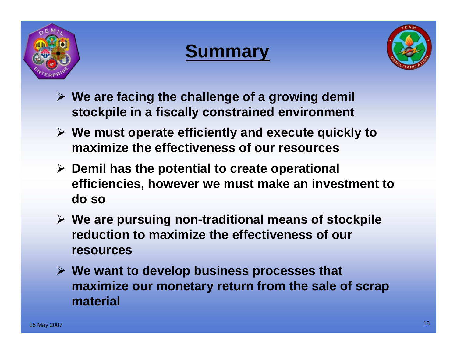





- ¾ **We are facing the challenge of a growing demil stockpile in a fiscally constrained environment**
- ¾ **We must operate efficiently and execute quickly to maximize the effectiveness of our resources**
- ¾ **Demil has the potential to create operational efficiencies, however we must make an investment to do so**
- ¾ **We are pursuing non-traditional means of stockpile reduction to maximize the effectiveness of our resources**
- ¾ **We want to develop business processes that maximize our monetary return from the sale of scrap material**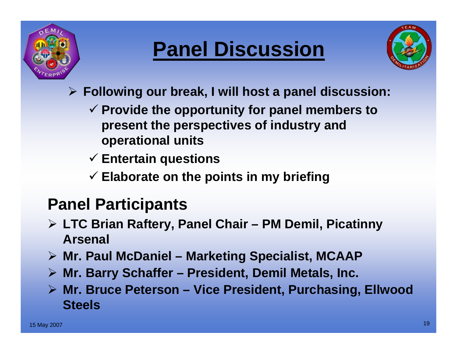

# **Panel Discussion**



- ¾ **Following our break, I will host a panel discussion:**
	- 9 **Provide the opportunity for panel members to present the perspectives of industry and operational units**
	- 9 **Entertain questions**
	- 9 **Elaborate on the points in my briefing**

## **Panel Participants**

- ¾ **LTC Brian Raftery, Panel Chair – PM Demil, Picatinny Arsenal**
- ¾ **Mr. Paul McDaniel – Marketing Specialist, MCAAP**
- ¾ **Mr. Barry Schaffer – President, Demil Metals, Inc.**
- ¾ **Mr. Bruce Peterson – Vice President, Purchasing, Ellwood Steels**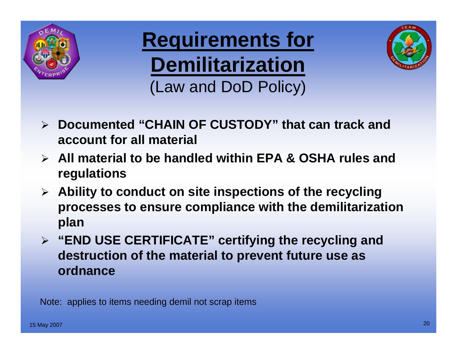

**Requirements for Demilitarization** (Law and DoD Policy)



- ¾ **Documented "CHAIN OF CUSTODY" that can track and account for all material**
- ¾ **All material to be handled within EPA & OSHA rules and regulations**
- ¾ **Ability to conduct on site inspections of the recycling processes to ensure compliance with the demilitarization plan**
- ¾ **"END USE CERTIFICATE" certifying the recycling and destruction of the material to prevent future use as ordnance**

Note: applies to items needing demil not scrap items